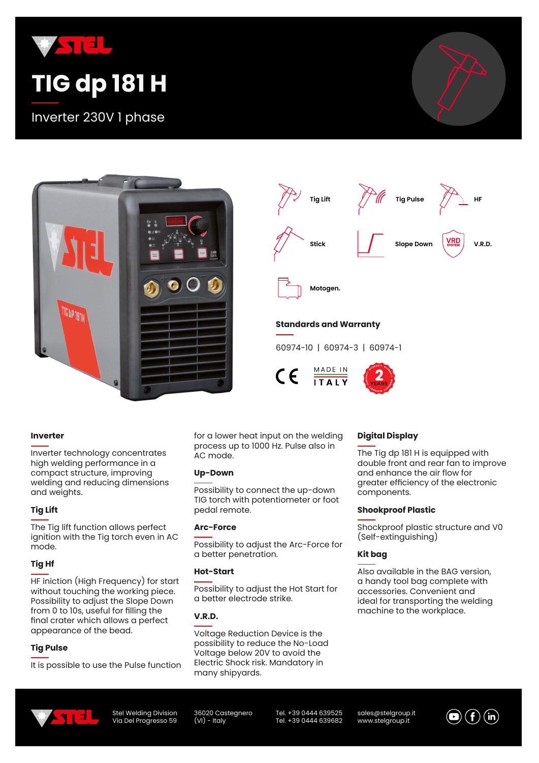

# **TIG dp 181 H**

Inverter 230V 1 phase





#### **Inverter**

Inverter technology concentrates high welding performance in a compact structure, improving welding and reducing dimensions and weights.

#### **Tig Lift**

The Tig lift function allows perfect ignition with the Tig torch even in AC mode.

#### **Tig Hf**

HF iniction (High Frequency) for start without touching the working piece. Possibility to adjust the Slope Down from 0 to 10s, useful for filling the final crater which allows a perfect appearance of the bead.

#### **Tig Pulse**

It is possible to use the Pulse function

for a lower heat input on the welding process up to 1000 Hz. Pulse also in AC mode.

#### **Up-Down**

Possibility to connect the up-down TIG torch with potentiometer or foot pedal remote.

#### **Arc-Force**

Possibility to adjust the Arc-Force for a better penetration.

#### **Hot-Start**

Possibility to adjust the Hot Start for a better electrode strike.

#### **V.R.D.**

Voltage Reduction Device is the possibility to reduce the No-Load Voltage below 20V to avoid the Electric Shock risk. Mandatory in many shipyards.

#### **Digital Display**

The Tig dp 181 H is equipped with double front and rear fan to improve and enhance the air flow for greater efficiency of the electronic components.

#### **Shookproof Plastic**

Shockproof plastic structure and V0 (Self-extinguishing)

#### **Kit bag**

Also available in the BAG version, a handy tool bag complete with accessories. Convenient and ideal for transporting the welding machine to the workplace.



Stel Welding Division Via Del Progresso 59 36020 Castegnero  $(VI)$  - Italy

Tel. +39 0444 639525 Tel. +39 0444 639682 sales@stelgroup.it www.stelgroup.it

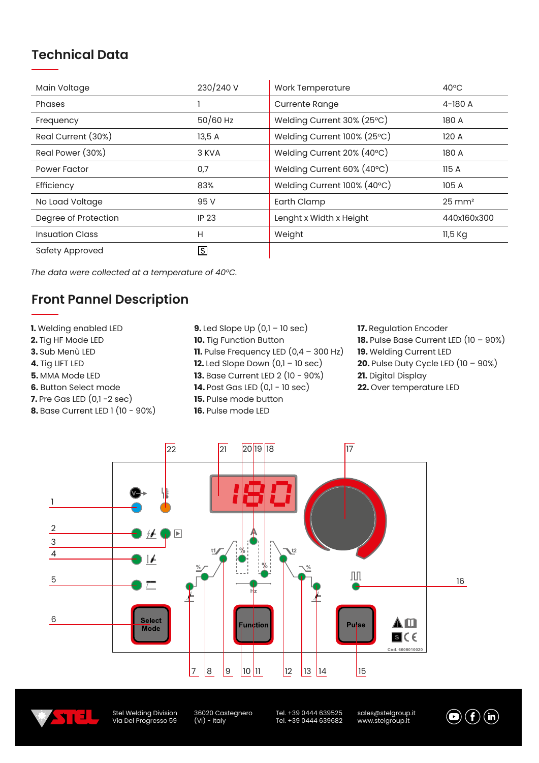## **Technical Data**

| Main Voltage           | 230/240 V    | Work Temperature            | $40^{\circ}$ C    |
|------------------------|--------------|-----------------------------|-------------------|
| Phases                 |              | <b>Currente Range</b>       | 4-180 A           |
| Frequency              | $50/60$ Hz   | Welding Current 30% (25°C)  | 180 A             |
| Real Current (30%)     | 13,5 A       | Welding Current 100% (25°C) | 120A              |
| Real Power (30%)       | 3 KVA        | Welding Current 20% (40°C)  | 180 A             |
| Power Factor           | 0,7          | Welding Current 60% (40°C)  | 115A              |
| Efficiency             | 83%          | Welding Current 100% (40°C) | 105 A             |
| No Load Voltage        | 95 V         | Earth Clamp                 | $25 \text{ mm}^2$ |
| Degree of Protection   | <b>IP 23</b> | Lenght x Width x Height     | 440x160x300       |
| <b>Insuation Class</b> | H            | Weight                      | 11,5 Kg           |
| Safety Approved        | IS           |                             |                   |

*The data were collected at a temperature of 40°C.*

# **Front Pannel Description**

**1.** Welding enabled LED **2.** Tig HF Mode LED **3.** Sub Menù LED **4.** Tig LIFT LED **5.** MMA Mode LED **6.** Button Select mode **7.** Pre Gas LED (0,1 -2 sec) **8.** Base Current LED 1 (10 - 90%) **9.** Led Slope Up (0,1 – 10 sec) **10.** Tig Function Button **11.** Pulse Frequency LED (0,4 – 300 Hz) **12.** Led Slope Down  $(0,1 - 10 \text{ sec})$ **13.** Base Current LED 2 (10 - 90%) **14.** Post Gas LED (0,1 - 10 sec) **15.** Pulse mode button

**16.** Pulse mode LED

#### **17.** Regulation Encoder

- **18.** Pulse Base Current LED (10 90%)
- **19.** Welding Current LED
- **20.** Pulse Duty Cycle LED (10 90%)
- **21.** Digital Display
- **22.** Over temperature LED





Stel Welding Division Via Del Progresso 59 36020 Castegnero (VI) - Italy

Tel. +39 0444 639525 Tel. +39 0444 639682 sales@stelgroup.it www.stelgroup.it